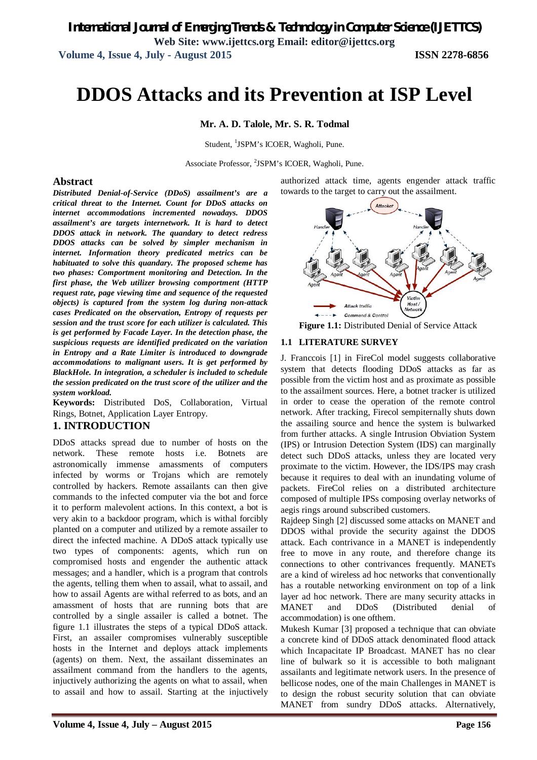# **DDOS Attacks and its Prevention at ISP Level**

**Mr. A. D. Talole, Mr. S. R. Todmal**

Student, <sup>1</sup>JSPM's ICOER, Wagholi, Pune.

Associate Professor, <sup>2</sup>JSPM's ICOER, Wagholi, Pune.

#### **Abstract**

*Distributed Denial-of-Service (DDoS) assailment's are a critical threat to the Internet. Count for DDoS attacks on internet accommodations incremented nowadays. DDOS assailment's are targets internetwork. It is hard to detect DDOS attack in network. The quandary to detect redress DDOS attacks can be solved by simpler mechanism in internet. Information theory predicated metrics can be habituated to solve this quandary. The proposed scheme has two phases: Comportment monitoring and Detection. In the first phase, the Web utilizer browsing comportment (HTTP request rate, page viewing time and sequence of the requested objects) is captured from the system log during non-attack cases Predicated on the observation, Entropy of requests per session and the trust score for each utilizer is calculated. This is get performed by Facade Layer. In the detection phase, the suspicious requests are identified predicated on the variation in Entropy and a Rate Limiter is introduced to downgrade accommodations to malignant users. It is get performed by BlackHole. In integration, a scheduler is included to schedule the session predicated on the trust score of the utilizer and the system workload.*

**Keywords:** Distributed DoS, Collaboration, Virtual Rings, Botnet, Application Layer Entropy.

#### **1. INTRODUCTION**

DDoS attacks spread due to number of hosts on the network. These remote hosts i.e. Botnets are astronomically immense amassments of computers infected by worms or Trojans which are remotely controlled by hackers. Remote assailants can then give commands to the infected computer via the bot and force it to perform malevolent actions. In this context, a bot is very akin to a backdoor program, which is withal forcibly planted on a computer and utilized by a remote assailer to direct the infected machine. A DDoS attack typically use two types of components: agents, which run on compromised hosts and engender the authentic attack messages; and a handler, which is a program that controls the agents, telling them when to assail, what to assail, and how to assail Agents are withal referred to as bots, and an amassment of hosts that are running bots that are controlled by a single assailer is called a botnet. The figure 1.1 illustrates the steps of a typical DDoS attack. First, an assailer compromises vulnerably susceptible hosts in the Internet and deploys attack implements (agents) on them. Next, the assailant disseminates an assailment command from the handlers to the agents, injuctively authorizing the agents on what to assail, when to assail and how to assail. Starting at the injuctively

authorized attack time, agents engender attack traffic towards to the target to carry out the assailment.





#### **1.1 LITERATURE SURVEY**

J. Franccois [1] in FireCol model suggests collaborative system that detects flooding DDoS attacks as far as possible from the victim host and as proximate as possible to the assailment sources. Here, a botnet tracker is utilized in order to cease the operation of the remote control network. After tracking, Firecol sempiternally shuts down the assailing source and hence the system is bulwarked from further attacks. A single Intrusion Obviation System (IPS) or Intrusion Detection System (IDS) can marginally detect such DDoS attacks, unless they are located very proximate to the victim. However, the IDS/IPS may crash because it requires to deal with an inundating volume of packets. FireCol relies on a distributed architecture composed of multiple IPSs composing overlay networks of aegis rings around subscribed customers.

Rajdeep Singh [2] discussed some attacks on MANET and DDOS withal provide the security against the DDOS attack. Each contrivance in a MANET is independently free to move in any route, and therefore change its connections to other contrivances frequently. MANETs are a kind of wireless ad hoc networks that conventionally has a routable networking environment on top of a link layer ad hoc network. There are many security attacks in MANET and DDoS (Distributed denial of accommodation) is one ofthem.

Mukesh Kumar [3] proposed a technique that can obviate a concrete kind of DDoS attack denominated flood attack which Incapacitate IP Broadcast. MANET has no clear line of bulwark so it is accessible to both malignant assailants and legitimate network users. In the presence of bellicose nodes, one of the main Challenges in MANET is to design the robust security solution that can obviate MANET from sundry DDoS attacks. Alternatively,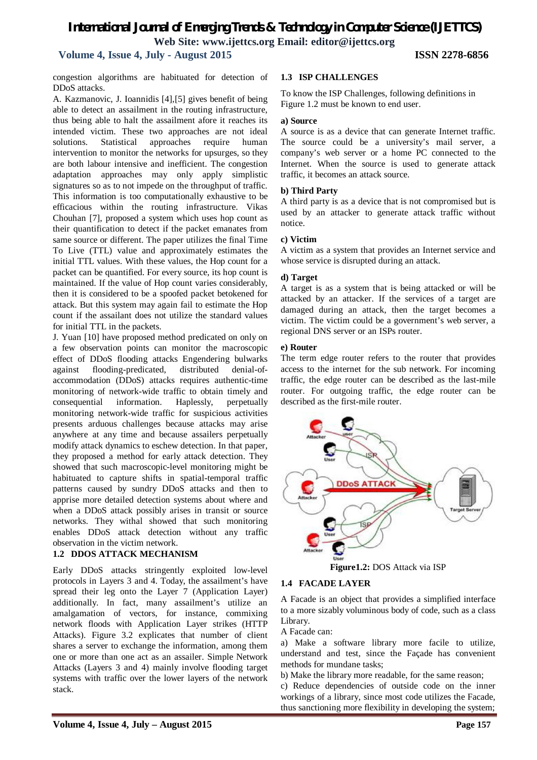# **Volume 4, Issue 4, July - August 2015 ISSN 2278-6856**

congestion algorithms are habituated for detection of DDoS attacks.

A. Kazmanovic, J. Ioannidis [4],[5] gives benefit of being able to detect an assailment in the routing infrastructure, thus being able to halt the assailment afore it reaches its intended victim. These two approaches are not ideal solutions. Statistical approaches require human intervention to monitor the networks for upsurges, so they are both labour intensive and inefficient. The congestion adaptation approaches may only apply simplistic signatures so as to not impede on the throughput of traffic. This information is too computationally exhaustive to be efficacious within the routing infrastructure. Vikas Chouhan [7], proposed a system which uses hop count as their quantification to detect if the packet emanates from same source or different. The paper utilizes the final Time To Live (TTL) value and approximately estimates the initial TTL values. With these values, the Hop count for a packet can be quantified. For every source, its hop count is maintained. If the value of Hop count varies considerably, then it is considered to be a spoofed packet betokened for attack. But this system may again fail to estimate the Hop count if the assailant does not utilize the standard values for initial TTL in the packets.

J. Yuan [10] have proposed method predicated on only on a few observation points can monitor the macroscopic effect of DDoS flooding attacks Engendering bulwarks against flooding-predicated, distributed denial-ofaccommodation (DDoS) attacks requires authentic-time monitoring of network-wide traffic to obtain timely and consequential information. Haplessly, perpetually monitoring network-wide traffic for suspicious activities presents arduous challenges because attacks may arise anywhere at any time and because assailers perpetually modify attack dynamics to eschew detection. In that paper, they proposed a method for early attack detection. They showed that such macroscopic-level monitoring might be habituated to capture shifts in spatial-temporal traffic patterns caused by sundry DDoS attacks and then to apprise more detailed detection systems about where and when a DDoS attack possibly arises in transit or source networks. They withal showed that such monitoring enables DDoS attack detection without any traffic observation in the victim network.

# **1.2 DDOS ATTACK MECHANISM**

Early DDoS attacks stringently exploited low-level protocols in Layers 3 and 4. Today, the assailment's have spread their leg onto the Layer 7 (Application Layer) additionally. In fact, many assailment's utilize an amalgamation of vectors, for instance, commixing network floods with Application Layer strikes (HTTP Attacks). Figure 3.2 explicates that number of client shares a server to exchange the information, among them one or more than one act as an assailer. Simple Network Attacks (Layers 3 and 4) mainly involve flooding target systems with traffic over the lower layers of the network stack.

#### **1.3 ISP CHALLENGES**

To know the ISP Challenges, following definitions in Figure 1.2 must be known to end user.

#### **a) Source**

A source is as a device that can generate Internet traffic. The source could be a university's mail server, a company's web server or a home PC connected to the Internet. When the source is used to generate attack traffic, it becomes an attack source.

#### **b) Third Party**

A third party is as a device that is not compromised but is used by an attacker to generate attack traffic without notice.

#### **c) Victim**

A victim as a system that provides an Internet service and whose service is disrupted during an attack.

#### **d) Target**

A target is as a system that is being attacked or will be attacked by an attacker. If the services of a target are damaged during an attack, then the target becomes a victim. The victim could be a government's web server, a regional DNS server or an ISPs router.

#### **e) Router**

The term edge router refers to the router that provides access to the internet for the sub network. For incoming traffic, the edge router can be described as the last-mile router. For outgoing traffic, the edge router can be described as the first-mile router.



**Figure1.2:** DOS Attack via ISP

#### **1.4 FACADE LAYER**

A Facade is an object that provides a simplified interface to a more sizably voluminous body of code, such as a class Library.

A Facade can:

a) Make a software library more facile to utilize, understand and test, since the Façade has convenient methods for mundane tasks;

b) Make the library more readable, for the same reason;

c) Reduce dependencies of outside code on the inner workings of a library, since most code utilizes the Facade, thus sanctioning more flexibility in developing the system;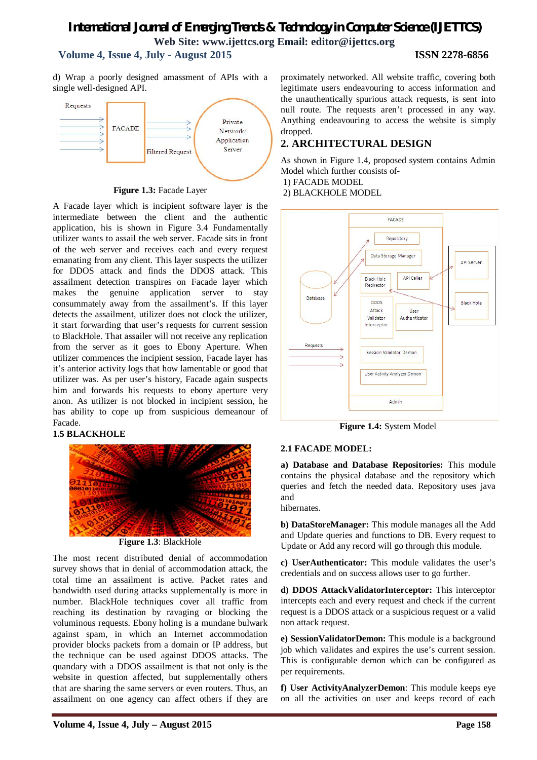# *International Journal of Emerging Trends & Technology in Computer Science (IJETTCS)* **Web Site: www.ijettcs.org Email: editor@ijettcs.org Volume 4, Issue 4, July - August 2015 ISSN 2278-6856**

d) Wrap a poorly designed amassment of APIs with a



**Figure 1.3:** Facade Layer

A Facade layer which is incipient software layer is the intermediate between the client and the authentic application, his is shown in Figure 3.4 Fundamentally utilizer wants to assail the web server. Facade sits in front of the web server and receives each and every request emanating from any client. This layer suspects the utilizer for DDOS attack and finds the DDOS attack. This assailment detection transpires on Facade layer which makes the genuine application server to stay consummately away from the assailment's. If this layer detects the assailment, utilizer does not clock the utilizer, it start forwarding that user's requests for current session to BlackHole. That assailer will not receive any replication from the server as it goes to Ebony Aperture. When utilizer commences the incipient session, Facade layer has it's anterior activity logs that how lamentable or good that utilizer was. As per user's history, Facade again suspects him and forwards his requests to ebony aperture very anon. As utilizer is not blocked in incipient session, he has ability to cope up from suspicious demeanour of Facade.

#### **1.5 BLACKHOLE**



**Figure 1.3**: BlackHole

The most recent distributed denial of accommodation survey shows that in denial of accommodation attack, the total time an assailment is active. Packet rates and bandwidth used during attacks supplementally is more in number. BlackHole techniques cover all traffic from reaching its destination by ravaging or blocking the voluminous requests. Ebony holing is a mundane bulwark against spam, in which an Internet accommodation provider blocks packets from a domain or IP address, but the technique can be used against DDOS attacks. The quandary with a DDOS assailment is that not only is the website in question affected, but supplementally others that are sharing the same servers or even routers. Thus, an assailment on one agency can affect others if they are proximately networked. All website traffic, covering both legitimate users endeavouring to access information and the unauthentically spurious attack requests, is sent into null route. The requests aren't processed in any way. Anything endeavouring to access the website is simply dropped.

# **2. ARCHITECTURAL DESIGN**

As shown in Figure 1.4, proposed system contains Admin Model which further consists of-

1) FACADE MODEL

2) BLACKHOLE MODEL



**Figure 1.4:** System Model

#### **2.1 FACADE MODEL:**

**a) Database and Database Repositories:** This module contains the physical database and the repository which queries and fetch the needed data. Repository uses java and

hibernates.

**b) DataStoreManager:** This module manages all the Add and Update queries and functions to DB. Every request to Update or Add any record will go through this module.

**c) UserAuthenticator:** This module validates the user's credentials and on success allows user to go further.

**d) DDOS AttackValidatorInterceptor:** This interceptor intercepts each and every request and check if the current request is a DDOS attack or a suspicious request or a valid non attack request.

**e) SessionValidatorDemon:** This module is a background job which validates and expires the use's current session. This is configurable demon which can be configured as per requirements.

**f) User ActivityAnalyzerDemon**: This module keeps eye on all the activities on user and keeps record of each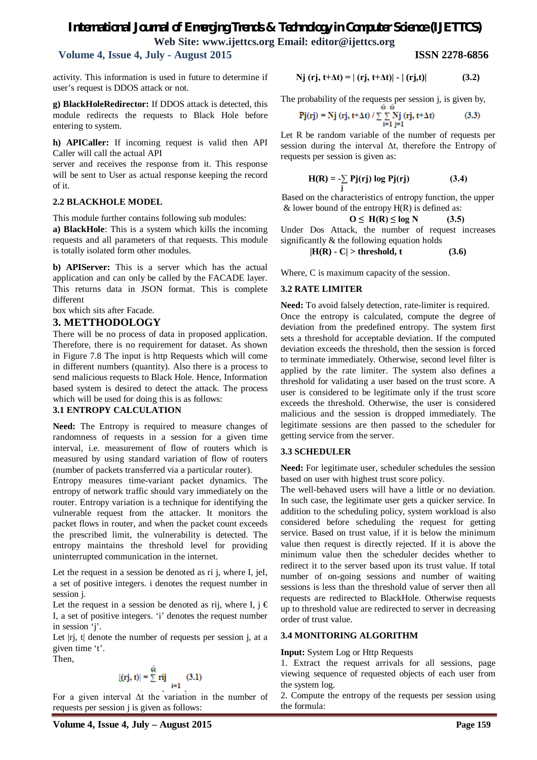# **Volume 4, Issue 4, July - August 2015 ISSN 2278-6856**

activity. This information is used in future to determine if user's request is DDOS attack or not.

**g) BlackHoleRedirector:** If DDOS attack is detected, this module redirects the requests to Black Hole before entering to system.

**h) APICaller:** If incoming request is valid then API Caller will call the actual API

server and receives the response from it. This response will be sent to User as actual response keeping the record of it.

#### **2.2 BLACKHOLE MODEL**

This module further contains following sub modules:

**a) BlackHole**: This is a system which kills the incoming requests and all parameters of that requests. This module is totally isolated form other modules.

**b) APIServer:** This is a server which has the actual application and can only be called by the FACADE layer. This returns data in JSON format. This is complete different

box which sits after Facade.

### **3. METTHODOLOGY**

There will be no process of data in proposed application. Therefore, there is no requirement for dataset. As shown in Figure 7.8 The input is http Requests which will come in different numbers (quantity). Also there is a process to send malicious requests to Black Hole. Hence, Information based system is desired to detect the attack. The process which will be used for doing this is as follows:

#### **3.1 ENTROPY CALCULATION**

**Need:** The Entropy is required to measure changes of randomness of requests in a session for a given time interval, i.e. measurement of flow of routers which is measured by using standard variation of flow of routers (number of packets transferred via a particular router).

Entropy measures time-variant packet dynamics. The entropy of network traffic should vary immediately on the router. Entropy variation is a technique for identifying the vulnerable request from the attacker. It monitors the packet flows in router, and when the packet count exceeds the prescribed limit, the vulnerability is detected. The entropy maintains the threshold level for providing uninterrupted communication in the internet.

Let the request in a session be denoted as ri j, where I, jeI, a set of positive integers. i denotes the request number in session *i*.

Let the request in a session be denoted as rij, where I,  $j \in \mathbb{C}$ I, a set of positive integers. 'i' denotes the request number in session 'j'.

Let  $|rj$ ,  $t|$  denote the number of requests per session  $j$ , at a given time 't'.

Then,

$$
|(rj, t)| = \sum_{i=1}^{\omega} rij
$$
 (3.1)

For a given interval Δt the variation in the number of requests per session j is given as follows:

$$
Nj (rj, t+\Delta t) = | (rj, t+\Delta t)| - | (rj,t)| \qquad (3.2)
$$

The probability of the requests per session j, is given by,

$$
Pj(rj) = Nj(rj, t + \Delta t) / \sum_{i=1}^{\omega} \sum_{j=1}^{N} (rj, t + \Delta t)
$$
 (3.3)

Let R be random variable of the number of requests per session during the interval Δt, therefore the Entropy of requests per session is given as:

$$
H(R) = -\sum Pj(rj) \log Pj(rj)
$$
 (3.4)

 **j** Based on the characteristics of entropy function, the upper  $&$  lower bound of the entropy  $H(R)$  is defined as:

$$
O \leq H(R) \leq \log N \tag{3.5}
$$

Under Dos Attack, the number of request increases significantly & the following equation holds

 $|H(R) - C| >$  threshold, t (3.6)

Where, C is maximum capacity of the session.

#### **3.2 RATE LIMITER**

**Need:** To avoid falsely detection, rate-limiter is required. Once the entropy is calculated, compute the degree of deviation from the predefined entropy. The system first sets a threshold for acceptable deviation. If the computed deviation exceeds the threshold, then the session is forced to terminate immediately. Otherwise, second level filter is applied by the rate limiter. The system also defines a threshold for validating a user based on the trust score. A user is considered to be legitimate only if the trust score exceeds the threshold. Otherwise, the user is considered malicious and the session is dropped immediately. The legitimate sessions are then passed to the scheduler for getting service from the server.

#### **3.3 SCHEDULER**

**Need:** For legitimate user, scheduler schedules the session based on user with highest trust score policy.

The well-behaved users will have a little or no deviation. In such case, the legitimate user gets a quicker service. In addition to the scheduling policy, system workload is also considered before scheduling the request for getting service. Based on trust value, if it is below the minimum value then request is directly rejected. If it is above the minimum value then the scheduler decides whether to redirect it to the server based upon its trust value. If total number of on-going sessions and number of waiting sessions is less than the threshold value of server then all requests are redirected to BlackHole. Otherwise requests up to threshold value are redirected to server in decreasing order of trust value.

#### **3.4 MONITORING ALGORITHM**

#### **Input:** System Log or Http Requests

1. Extract the request arrivals for all sessions, page viewing sequence of requested objects of each user from the system log.

2. Compute the entropy of the requests per session using the formula: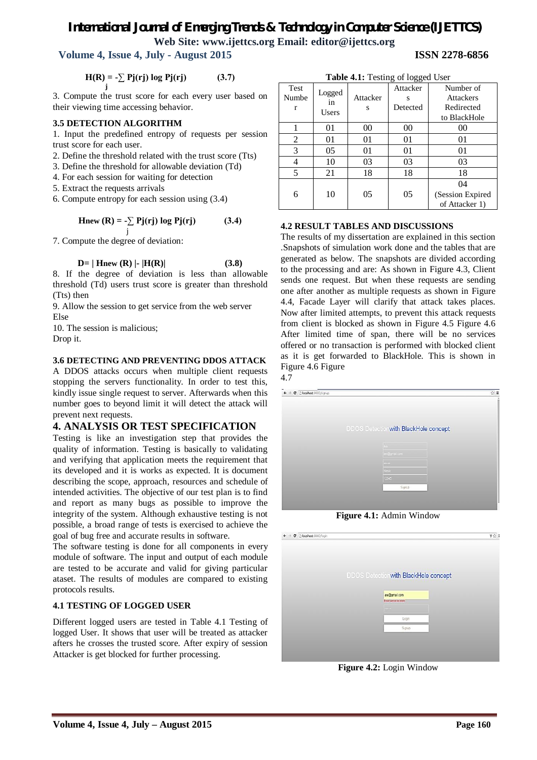# **Volume 4, Issue 4, July - August 2015 ISSN 2278-6856**

$$
H(R) = -\sum_{j} Pj(rj) \log Pj(rj)
$$
 (3.7)

3. Compute the trust score for each every user based on their viewing time accessing behavior.

#### **3.5 DETECTION ALGORITHM**

1. Input the predefined entropy of requests per session trust score for each user.

- 2. Define the threshold related with the trust score (Tts)
- 3. Define the threshold for allowable deviation (Td)
- 4. For each session for waiting for detection
- 5. Extract the requests arrivals

6. Compute entropy for each session using (3.4)

$$
Hnew (R) = -\sum_{j} Pj(rj) log Pj(rj)
$$
 (3.4)

7. Compute the degree of deviation:

### $D= |$  **Hnew (R)**  $| \cdot |$  **H(R)** (3.8)

8. If the degree of deviation is less than allowable threshold (Td) users trust score is greater than threshold (Tts) then

9. Allow the session to get service from the web server Else

10. The session is malicious; Drop it.

### **3.6 DETECTING AND PREVENTING DDOS ATTACK**

A DDOS attacks occurs when multiple client requests stopping the servers functionality. In order to test this, kindly issue single request to server. Afterwards when this number goes to beyond limit it will detect the attack will prevent next requests.

# **4. ANALYSIS OR TEST SPECIFICATION**

Testing is like an investigation step that provides the quality of information. Testing is basically to validating and verifying that application meets the requirement that its developed and it is works as expected. It is document describing the scope, approach, resources and schedule of intended activities. The objective of our test plan is to find and report as many bugs as possible to improve the integrity of the system. Although exhaustive testing is not possible, a broad range of tests is exercised to achieve the goal of bug free and accurate results in software.

The software testing is done for all components in every module of software. The input and output of each module are tested to be accurate and valid for giving particular ataset. The results of modules are compared to existing protocols results.

# **4.1 TESTING OF LOGGED USER**

Different logged users are tested in Table 4.1 Testing of logged User. It shows that user will be treated as attacker afters he crosses the trusted score. After expiry of session Attacker is get blocked for further processing.

| Table 4.1: Testing of logged User |                       |               |          |                   |  |
|-----------------------------------|-----------------------|---------------|----------|-------------------|--|
| <b>Test</b>                       |                       |               | Attacker | Number of         |  |
| Numbe                             | Logged<br>in<br>Users | Attacker<br>S | S        | <b>Attackers</b>  |  |
| r                                 |                       |               | Detected | Redirected        |  |
|                                   |                       |               |          | to BlackHole      |  |
|                                   | 01                    | 00            | 00       | 0 <sup>0</sup>    |  |
| 2                                 | 01                    | 01            | 01       | 01                |  |
| 3                                 | 05                    | 01            | 01       | 01                |  |
| 4                                 | 10                    | 03            | 03       | 03                |  |
| 5                                 | 21                    | 18            | 18       | 18                |  |
|                                   |                       |               |          | 04                |  |
| 6                                 | 10                    | 05            | 05       | (Session Expired) |  |
|                                   |                       |               |          | of Attacker 1)    |  |

# **4.2 RESULT TABLES AND DISCUSSIONS**

The results of my dissertation are explained in this section .Snapshots of simulation work done and the tables that are generated as below. The snapshots are divided according to the processing and are: As shown in Figure 4.3, Client sends one request. But when these requests are sending one after another as multiple requests as shown in Figure 4.4, Facade Layer will clarify that attack takes places. Now after limited attempts, to prevent this attack requests from client is blocked as shown in Figure 4.5 Figure 4.6 After limited time of span, there will be no services offered or no transaction is performed with blocked client as it is get forwarded to BlackHole. This is shown in Figure 4.6 Figure



**Figure 4.1:** Admin Window

| $\leftarrow$ $\rightarrow$ C $\Box$ localhost 8080/login |                                              | 9☆ 1 |
|----------------------------------------------------------|----------------------------------------------|------|
|                                                          |                                              |      |
|                                                          |                                              |      |
|                                                          |                                              |      |
|                                                          | <b>DDOS Detection with BlackHole concept</b> |      |
|                                                          | an@gmail.com                                 |      |
|                                                          | Email carnot be blank                        |      |
|                                                          | <b>HELL</b>                                  |      |
|                                                          | Logn                                         |      |
|                                                          |                                              |      |
|                                                          | Signup                                       |      |
|                                                          |                                              |      |
|                                                          |                                              |      |

**Figure 4.2:** Login Window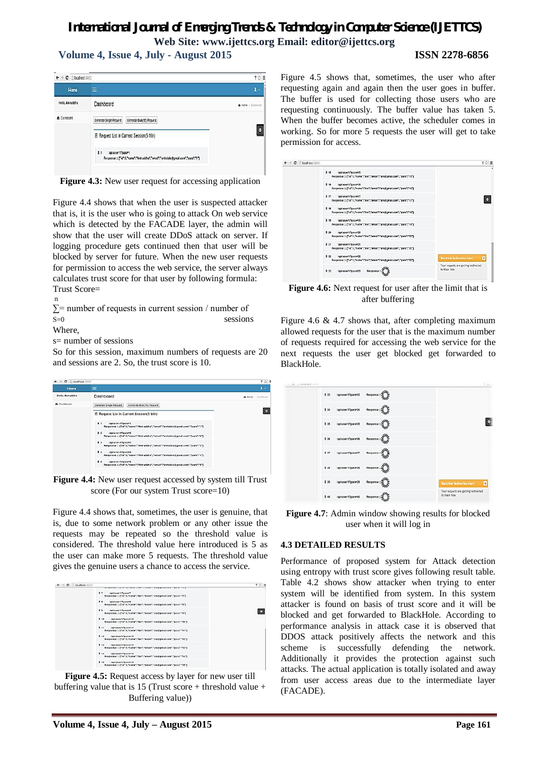# *International Journal of Emerging Trends & Technology in Computer Science (IJETTCS)*

**Web Site: www.ijettcs.org Email: editor@ijettcs.org Volume 4, Issue 4, July - August 2015 ISSN 2278-6856**

 $\leftarrow$  + C Discribed 000  $90 =$ Ä. **Hame Relig. Anituddha** Dashboard A Home - Dashtown A Datenant Generate Single Request Generate Bulk(15) Request  $\bullet$ **E** Request List in Current Session(5 Min)  $\mathbf{H}$ /apiluser/17para=1 Response ::: ("id":1."name":"Aniruddha"."email":"anitalole@gmail.com"."para":"1")

**Figure 4.3:** New user request for accessing application

Figure 4.4 shows that when the user is suspected attacker that is, it is the user who is going to attack On web service which is detected by the FACADE layer, the admin will show that the user will create DDoS attack on server. If logging procedure gets continued then that user will be blocked by server for future. When the new user requests for permission to access the web service, the server always calculates trust score for that user by following formula: Trust Score=

n  $\Sigma$ = number of requests in current session / number of  $S=0$  sessions

Where,

s= number of sessions

So for this session, maximum numbers of requests are 20 and sessions are 2. So, the trust score is 10.

| $\leftarrow$ $\rightarrow$ C $\Box$ localhost 8080 |                                                                                                                                                                                                                                                                                                                                                                                                                                                                                                                                                                                              | 学 ☆ 目              |
|----------------------------------------------------|----------------------------------------------------------------------------------------------------------------------------------------------------------------------------------------------------------------------------------------------------------------------------------------------------------------------------------------------------------------------------------------------------------------------------------------------------------------------------------------------------------------------------------------------------------------------------------------------|--------------------|
| <b>Home</b>                                        | $\equiv$                                                                                                                                                                                                                                                                                                                                                                                                                                                                                                                                                                                     | $\mathbf{a}$ .     |
| Hello, Aniruddha                                   | Dashboard                                                                                                                                                                                                                                                                                                                                                                                                                                                                                                                                                                                    | A Home - Dashboard |
| @ Dashboard                                        | Generate Single Request<br>Generate Bulk(15) Request<br>E Request List in Current Session(5 Min)<br>$\mathbf{r}$<br>/apiluser/17para=1<br>Response ::: ("id":1,"name":"Aniruddha","email":"anitalole@gmail.com","para":"1")<br>12<br>rapilluser/17para=2<br>Response ::: ("id":1,"name":"Aniruddha","email":"anitalole@gmail.com","para":"2")<br>$\blacksquare$<br>(apiluser/17para=3)<br>Response ::: ("id":1,"name":"Aniruddha","email":"anitalole@gmail.com","para":"3")<br>14<br>/apiluser/17para=4<br>Response ::: ("id":1,"name":"Aniruddha","email":"anitalole@gmail.com","para":"4") | o                  |
|                                                    | 15<br>lapiluser/12para=5<br>Response ::: ("id":1,"name":"Aniruddha","email":"anitalole@gmail.com","para":"5")                                                                                                                                                                                                                                                                                                                                                                                                                                                                                |                    |

**Figure 4.4:** New user request accessed by system till Trust score (For our system Trust score=10)

Figure 4.4 shows that, sometimes, the user is genuine, that is, due to some network problem or any other issue the requests may be repeated so the threshold value is considered. The threshold value here introduced is 5 as the user can make more 5 requests. The threshold value gives the genuine users a chance to access the service.

| $\leftarrow$ $\rightarrow$ C $\Box$ localhost 8080 |                                                                                                             | $Y \subseteq E$ |
|----------------------------------------------------|-------------------------------------------------------------------------------------------------------------|-----------------|
|                                                    | The agreement couples and sensors in Paris a monetar constraint present contracts of a                      |                 |
|                                                    | 17<br>(api user:17para=7<br>Response = ["id":1,"name":"Ani","email":"ani@gmail.com","para":"7"]             |                 |
|                                                    | 28<br>/api/user/1?para=8<br>Response ::: ("Id":1,"name":"Ani","email";"ani:itigmail.com","para*:f8")        |                 |
|                                                    | (api/user/17para=9)<br>$\mathbf{1}$<br>Response = ("id":1,"name":"Ani","email":"ani@gmail.com","para":"9")  |                 |
|                                                    | E 10<br>/apiuser/17para=10<br>Response = ["Id":1,"name";"Ani","email";"ani@gmail.com","para";"10")          |                 |
|                                                    | E 11<br>/apiuser/17para=11<br>Response = ("id":1."name":"Ani"."email":"ani@gmail.com"."para":"11")          |                 |
|                                                    | /apiuser/17para=12<br><b>E</b> 12<br>Response = ("id":1,"name";"Ani","email";"ani@gmail.com","para";"12")   |                 |
|                                                    | <b>B</b> 13<br>/apiuser/17para=13<br>Response ::: ["id":1."name":"Ani"."email":"ani@gmail.com"."para":"13") |                 |
|                                                    | <b>E</b> 14<br>/apiuser/1?para=14<br>Response = ("id":1,"name":"Ani","email":"ani@gmail.com","para":"14")   |                 |
|                                                    | <b>E</b> 15<br>/apiuser/17para=15<br>Response = ("id":1."name":"Ani","email":"ani@gmail.com","para":"15")   |                 |

**Figure 4.5:** Request access by layer for new user till buffering value that is 15 (Trust score + threshold value + Buffering value))

Figure 4.5 shows that, sometimes, the user who after requesting again and again then the user goes in buffer. The buffer is used for collecting those users who are requesting continuously. The buffer value has taken 5. When the buffer becomes active, the scheduler comes in working. So for more 5 requests the user will get to take permission for access.

| $\leftarrow$ $\rightarrow$ C $\cap$ localhost 8080 |                                                                                                             | 学☆ 量                                                          |   |
|----------------------------------------------------|-------------------------------------------------------------------------------------------------------------|---------------------------------------------------------------|---|
|                                                    | E 15<br>/api'user/1?para=15<br>Response = ("id":1,"name";"Ani","email";"ani@gmail.com","para";"15")         |                                                               | ٠ |
|                                                    | E 16<br>/apiuser/17para=16<br>Response = ["id":1,"name":"Ani","email":"ani@gmail.com","para":"16")          |                                                               |   |
|                                                    | E 17<br>/apiuser/1?para=17<br>Response = ("id":1,"name":"Ani","email":"ani@gmail.com","para":"17")          |                                                               |   |
|                                                    | /apiuser/17para=18<br>11<br>Response ::: ("id":1,"name":"Ani","email":"ani@gmail.com","para":"18")          |                                                               |   |
|                                                    | <b>E</b> 19<br>/apiuser/17para=19<br>Response ::: ("id":1,"name":"Ani","email":"ani@gmail.com","para":"19") |                                                               |   |
|                                                    | <b>120</b><br>/apiuser/17para=20<br>Response = ("id":1,"name":"Ani","email":"ani@gmail.com","para":"20")    |                                                               |   |
|                                                    | 121<br>/apiuser/17para=21<br>Response = ("id":1,"name":"Ani","email":"ani@gmail.com","para":"21")           |                                                               |   |
|                                                    | 122<br>/apiuser/17para=22<br>Response ::: ["id":1,"name":"Ani","email":"ani@gmail.com","para":"22")         | $\overline{\mathbf{x}}$<br><b>BlackHole Redirection Alert</b> |   |
|                                                    | <b>E</b> 23<br>/apiuser/1?para=23                                                                           | Your requests are getting redirected<br>to black hole         |   |

**Figure 4.6:** Next request for user after the limit that is after buffering

Figure 4.6  $\&$  4.7 shows that, after completing maximum allowed requests for the user that is the maximum number of requests required for accessing the web service for the next requests the user get blocked get forwarded to BlackHole.



**Figure 4.7**: Admin window showing results for blocked user when it will log in

#### **4.3 DETAILED RESULTS**

Performance of proposed system for Attack detection using entropy with trust score gives following result table. Table 4.2 shows show attacker when trying to enter system will be identified from system. In this system attacker is found on basis of trust score and it will be blocked and get forwarded to BlackHole. According to performance analysis in attack case it is observed that DDOS attack positively affects the network and this scheme is successfully defending the network. Additionally it provides the protection against such attacks. The actual application is totally isolated and away from user access areas due to the intermediate layer (FACADE).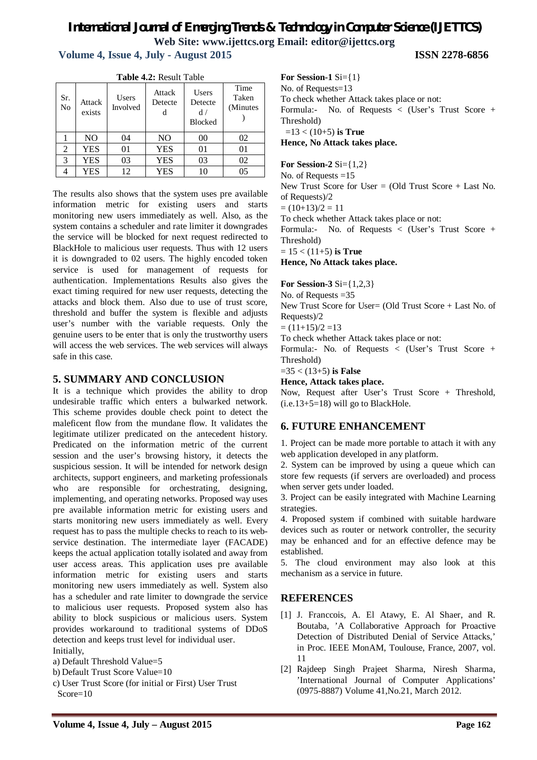**Volume 4, Issue 4, July - August 2015 ISSN 2278-6856**

| Table 4.2: Result Table |                  |                   |                        |                                         |                            |
|-------------------------|------------------|-------------------|------------------------|-----------------------------------------|----------------------------|
| Sr.<br>N <sub>0</sub>   | Attack<br>exists | Users<br>Involved | Attack<br>Detecte<br>d | Users<br>Detecte<br>d<br><b>Blocked</b> | Time<br>Taken<br>(Minutes) |
|                         | N <sub>O</sub>   | 04                | N <sub>O</sub>         | 00                                      | 02                         |
| 2                       | <b>YES</b>       | 01                | <b>YES</b>             | 01                                      | 01                         |
| 3                       | <b>YES</b>       | 03                | <b>YES</b>             | 03                                      | 02                         |
|                         | <b>YES</b>       | 12                | <b>YES</b>             | 10                                      | 05                         |

**Table 4.2:** Result Table

The results also shows that the system uses pre available information metric for existing users and starts monitoring new users immediately as well. Also, as the system contains a scheduler and rate limiter it downgrades the service will be blocked for next request redirected to BlackHole to malicious user requests. Thus with 12 users it is downgraded to 02 users. The highly encoded token service is used for management of requests for authentication. Implementations Results also gives the exact timing required for new user requests, detecting the attacks and block them. Also due to use of trust score, threshold and buffer the system is flexible and adjusts user's number with the variable requests. Only the genuine users to be enter that is only the trustworthy users will access the web services. The web services will always safe in this case.

# **5. SUMMARY AND CONCLUSION**

It is a technique which provides the ability to drop undesirable traffic which enters a bulwarked network. This scheme provides double check point to detect the maleficent flow from the mundane flow. It validates the legitimate utilizer predicated on the antecedent history. Predicated on the information metric of the current session and the user's browsing history, it detects the suspicious session. It will be intended for network design architects, support engineers, and marketing professionals who are responsible for orchestrating, designing, implementing, and operating networks. Proposed way uses pre available information metric for existing users and starts monitoring new users immediately as well. Every request has to pass the multiple checks to reach to its webservice destination. The intermediate layer (FACADE) keeps the actual application totally isolated and away from user access areas. This application uses pre available information metric for existing users and starts monitoring new users immediately as well. System also has a scheduler and rate limiter to downgrade the service to malicious user requests. Proposed system also has ability to block suspicious or malicious users. System provides workaround to traditional systems of DDoS detection and keeps trust level for individual user. Initially,

a) Default Threshold Value=5

b) Default Trust Score Value=10

c) User Trust Score (for initial or First) User Trust Score=10

**For Session-1** Si={1} No. of Requests=13 To check whether Attack takes place or not: Formula:- No. of Requests < (User's Trust Score + Threshold) =13 < (10+5) **is True Hence, No Attack takes place.**

**For Session-2** Si={1,2}

No. of Requests =15 New Trust Score for User  $=$  (Old Trust Score  $+$  Last No.

of Requests)/2

 $=(10+13)/2=11$ 

To check whether Attack takes place or not:

Formula:- No. of Requests < (User's Trust Score + Threshold)

= 15 < (11+5) **is True**

**Hence, No Attack takes place.**

**For Session-3** Si={1,2,3}

No. of Requests =35

New Trust Score for User= (Old Trust Score + Last No. of Requests)/2

 $=(11+15)/2=13$ 

To check whether Attack takes place or not:

Formula:- No. of Requests < (User's Trust Score + Threshold)

=35 < (13+5) **is False**

**Hence, Attack takes place.**

Now, Request after User's Trust Score + Threshold, (i.e.13+5=18) will go to BlackHole.

# **6. FUTURE ENHANCEMENT**

1. Project can be made more portable to attach it with any web application developed in any platform.

2. System can be improved by using a queue which can store few requests (if servers are overloaded) and process when server gets under loaded.

3. Project can be easily integrated with Machine Learning strategies.

4. Proposed system if combined with suitable hardware devices such as router or network controller, the security may be enhanced and for an effective defence may be established.

5. The cloud environment may also look at this mechanism as a service in future.

# **REFERENCES**

- [1] J. Franccois, A. El Atawy, E. Al Shaer, and R. Boutaba, 'A Collaborative Approach for Proactive Detection of Distributed Denial of Service Attacks,' in Proc. IEEE MonAM, Toulouse, France, 2007, vol. 11
- [2] Rajdeep Singh Prajeet Sharma, Niresh Sharma, 'International Journal of Computer Applications' (0975-8887) Volume 41,No.21, March 2012.